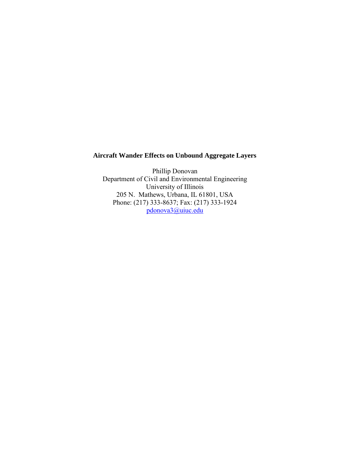# **Aircraft Wander Effects on Unbound Aggregate Layers**

Phillip Donovan Department of Civil and Environmental Engineering University of Illinois 205 N. Mathews, Urbana, IL 61801, USA Phone: (217) 333-8637; Fax: (217) 333-1924 [pdonova3@uiuc.edu](mailto:pdonova3@uiuc.edu)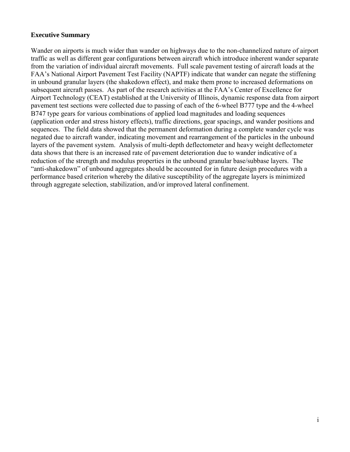## **Executive Summary**

Wander on airports is much wider than wander on highways due to the non-channelized nature of airport traffic as well as different gear configurations between aircraft which introduce inherent wander separate from the variation of individual aircraft movements. Full scale pavement testing of aircraft loads at the FAA's National Airport Pavement Test Facility (NAPTF) indicate that wander can negate the stiffening in unbound granular layers (the shakedown effect), and make them prone to increased deformations on subsequent aircraft passes. As part of the research activities at the FAA's Center of Excellence for Airport Technology (CEAT) established at the University of Illinois, dynamic response data from airport pavement test sections were collected due to passing of each of the 6-wheel B777 type and the 4-wheel B747 type gears for various combinations of applied load magnitudes and loading sequences (application order and stress history effects), traffic directions, gear spacings, and wander positions and sequences. The field data showed that the permanent deformation during a complete wander cycle was negated due to aircraft wander, indicating movement and rearrangement of the particles in the unbound layers of the pavement system. Analysis of multi-depth deflectometer and heavy weight deflectometer data shows that there is an increased rate of pavement deterioration due to wander indicative of a reduction of the strength and modulus properties in the unbound granular base/subbase layers. The "anti-shakedown" of unbound aggregates should be accounted for in future design procedures with a performance based criterion whereby the dilative susceptibility of the aggregate layers is minimized through aggregate selection, stabilization, and/or improved lateral confinement.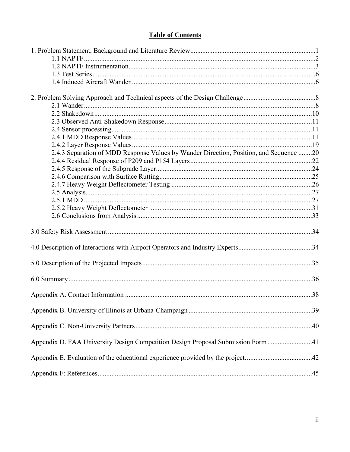# **Table of Contents**

| 2.4.3 Separation of MDD Response Values by Wander Direction, Position, and Sequence 20 |  |
|----------------------------------------------------------------------------------------|--|
|                                                                                        |  |
|                                                                                        |  |
|                                                                                        |  |
|                                                                                        |  |
|                                                                                        |  |
|                                                                                        |  |
|                                                                                        |  |
|                                                                                        |  |
|                                                                                        |  |
| 4.0 Description of Interactions with Airport Operators and Industry Experts34          |  |
|                                                                                        |  |
|                                                                                        |  |
|                                                                                        |  |
|                                                                                        |  |
|                                                                                        |  |
|                                                                                        |  |
| Appendix D. FAA University Design Competition Design Proposal Submission Form 41       |  |
| Appendix E. Evaluation of the educational experience provided by the project42         |  |
|                                                                                        |  |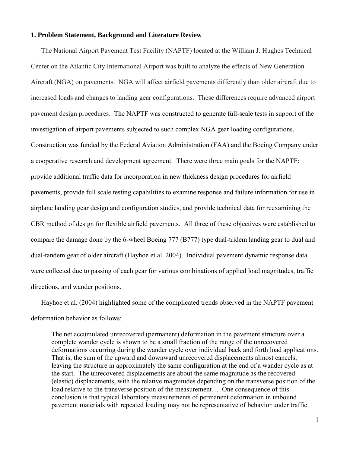#### **1. Problem Statement, Background and Literature Review**

 The National Airport Pavement Test Facility (NAPTF) located at the William J. Hughes Technical Center on the Atlantic City International Airport was built to analyze the effects of New Generation Aircraft (NGA) on pavements. NGA will affect airfield pavements differently than older aircraft due to increased loads and changes to landing gear configurations. These differences require advanced airport pavement design procedures. The NAPTF was constructed to generate full-scale tests in support of the investigation of airport pavements subjected to such complex NGA gear loading configurations. Construction was funded by the Federal Aviation Administration (FAA) and the Boeing Company under a cooperative research and development agreement. There were three main goals for the NAPTF: provide additional traffic data for incorporation in new thickness design procedures for airfield pavements, provide full scale testing capabilities to examine response and failure information for use in airplane landing gear design and configuration studies, and provide technical data for reexamining the CBR method of design for flexible airfield pavements. All three of these objectives were established to compare the damage done by the 6-wheel Boeing 777 (B777) type dual-tridem landing gear to dual and dual-tandem gear of older aircraft (Hayhoe et.al. 2004). Individual pavement dynamic response data were collected due to passing of each gear for various combinations of applied load magnitudes, traffic directions, and wander positions.

 Hayhoe et al. (2004) highlighted some of the complicated trends observed in the NAPTF pavement deformation behavior as follows:

The net accumulated unrecovered (permanent) deformation in the pavement structure over a complete wander cycle is shown to be a small fraction of the range of the unrecovered deformations occurring during the wander cycle over individual back and forth load applications. That is, the sum of the upward and downward unrecovered displacements almost cancels, leaving the structure in approximately the same configuration at the end of a wander cycle as at the start. The unrecovered displacements are about the same magnitude as the recovered (elastic) displacements, with the relative magnitudes depending on the transverse position of the load relative to the transverse position of the measurement… One consequence of this conclusion is that typical laboratory measurements of permanent deformation in unbound pavement materials with repeated loading may not be representative of behavior under traffic.

1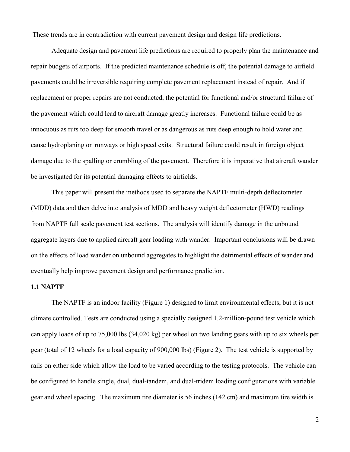These trends are in contradiction with current pavement design and design life predictions.

 Adequate design and pavement life predictions are required to properly plan the maintenance and repair budgets of airports. If the predicted maintenance schedule is off, the potential damage to airfield pavements could be irreversible requiring complete pavement replacement instead of repair. And if replacement or proper repairs are not conducted, the potential for functional and/or structural failure of the pavement which could lead to aircraft damage greatly increases. Functional failure could be as innocuous as ruts too deep for smooth travel or as dangerous as ruts deep enough to hold water and cause hydroplaning on runways or high speed exits. Structural failure could result in foreign object damage due to the spalling or crumbling of the pavement. Therefore it is imperative that aircraft wander be investigated for its potential damaging effects to airfields.

 This paper will present the methods used to separate the NAPTF multi-depth deflectometer (MDD) data and then delve into analysis of MDD and heavy weight deflectometer (HWD) readings from NAPTF full scale pavement test sections. The analysis will identify damage in the unbound aggregate layers due to applied aircraft gear loading with wander. Important conclusions will be drawn on the effects of load wander on unbound aggregates to highlight the detrimental effects of wander and eventually help improve pavement design and performance prediction.

### **1.1 NAPTF**

 The NAPTF is an indoor facility (Figure 1) designed to limit environmental effects, but it is not climate controlled. Tests are conducted using a specially designed 1.2-million-pound test vehicle which can apply loads of up to 75,000 lbs (34,020 kg) per wheel on two landing gears with up to six wheels per gear (total of 12 wheels for a load capacity of 900,000 lbs) (Figure 2). The test vehicle is supported by rails on either side which allow the load to be varied according to the testing protocols. The vehicle can be configured to handle single, dual, dual-tandem, and dual-tridem loading configurations with variable gear and wheel spacing. The maximum tire diameter is 56 inches (142 cm) and maximum tire width is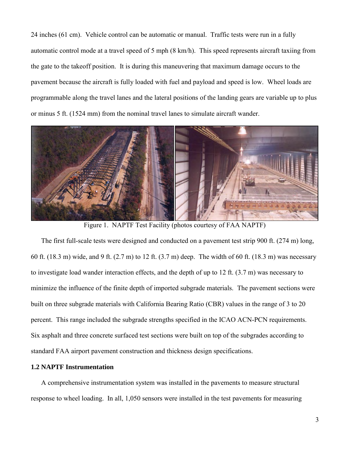24 inches (61 cm). Vehicle control can be automatic or manual. Traffic tests were run in a fully automatic control mode at a travel speed of 5 mph (8 km/h). This speed represents aircraft taxiing from the gate to the takeoff position. It is during this maneuvering that maximum damage occurs to the pavement because the aircraft is fully loaded with fuel and payload and speed is low. Wheel loads are programmable along the travel lanes and the lateral positions of the landing gears are variable up to plus or minus 5 ft. (1524 mm) from the nominal travel lanes to simulate aircraft wander.



Figure 1. NAPTF Test Facility (photos courtesy of FAA NAPTF)

 The first full-scale tests were designed and conducted on a pavement test strip 900 ft. (274 m) long, 60 ft. (18.3 m) wide, and 9 ft. (2.7 m) to 12 ft. (3.7 m) deep. The width of 60 ft. (18.3 m) was necessary to investigate load wander interaction effects, and the depth of up to 12 ft. (3.7 m) was necessary to minimize the influence of the finite depth of imported subgrade materials. The pavement sections were built on three subgrade materials with California Bearing Ratio (CBR) values in the range of 3 to 20 percent. This range included the subgrade strengths specified in the ICAO ACN-PCN requirements. Six asphalt and three concrete surfaced test sections were built on top of the subgrades according to standard FAA airport pavement construction and thickness design specifications.

### **1.2 NAPTF Instrumentation**

 A comprehensive instrumentation system was installed in the pavements to measure structural response to wheel loading. In all, 1,050 sensors were installed in the test pavements for measuring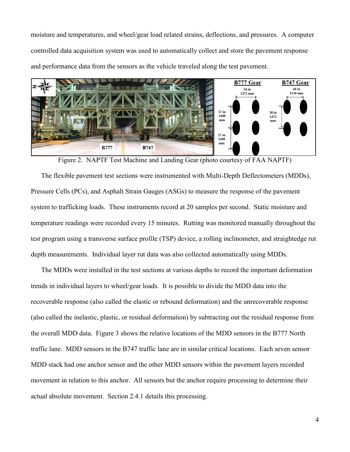moisture and temperatures, and wheel/gear load related strains, deflections, and pressures. A computer controlled data acquisition system was used to automatically collect and store the pavement response and performance data from the sensors as the vehicle traveled along the test pavement.



Figure 2. NAPTF Test Machine and Landing Gear (photo courtesy of FAA NAPTF)

 The flexible pavement test sections were instrumented with Multi-Depth Deflectometers (MDDs), Pressure Cells (PCs), and Asphalt Strain Gauges (ASGs) to measure the response of the pavement system to trafficking loads. These instruments record at 20 samples per second. Static moisture and temperature readings were recorded every 15 minutes. Rutting was monitored manually throughout the test program using a transverse surface profile (TSP) device, a rolling inclinometer, and straightedge rut depth measurements. Individual layer rut data was also collected automatically using MDDs.

 The MDDs were installed in the test sections at various depths to record the important deformation trends in individual layers to wheel/gear loads. It is possible to divide the MDD data into the recoverable response (also called the elastic or rebound deformation) and the unrecoverable response (also called the inelastic, plastic, or residual deformation) by subtracting out the residual response from the overall MDD data. Figure 3 shows the relative locations of the MDD sensors in the B777 North traffic lane. MDD sensors in the B747 traffic lane are in similar critical locations. Each seven sensor MDD stack had one anchor sensor and the other MDD sensors within the pavement layers recorded movement in relation to this anchor. All sensors but the anchor require processing to determine their actual absolute movement. Section 2.4.1 details this processing.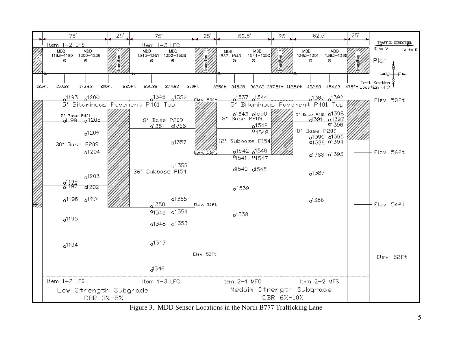

Figure 3. MDD Sensor Locations in the North B777 Trafficking Lane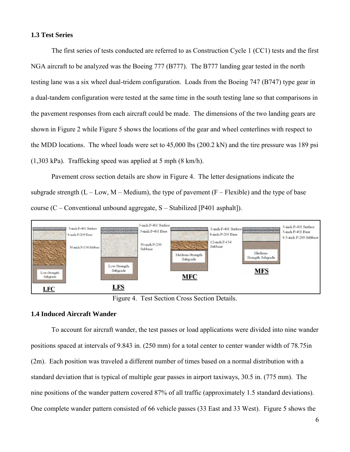#### **1.3 Test Series**

 The first series of tests conducted are referred to as Construction Cycle 1 (CC1) tests and the first NGA aircraft to be analyzed was the Boeing 777 (B777). The B777 landing gear tested in the north testing lane was a six wheel dual-tridem configuration. Loads from the Boeing 747 (B747) type gear in a dual-tandem configuration were tested at the same time in the south testing lane so that comparisons in the pavement responses from each aircraft could be made. The dimensions of the two landing gears are shown in Figure 2 while Figure 5 shows the locations of the gear and wheel centerlines with respect to the MDD locations. The wheel loads were set to 45,000 lbs (200.2 kN) and the tire pressure was 189 psi (1,303 kPa). Trafficking speed was applied at 5 mph (8 km/h).

Pavement cross section details are show in Figure 4. The letter designations indicate the subgrade strength  $(L - Low, M - Medium)$ , the type of pavement  $(F - Flexible)$  and the type of base course (C – Conventional unbound aggregate, S – Stabilized [P401 asphalt]).



Figure 4. Test Section Cross Section Details.

### **1.4 Induced Aircraft Wander**

 To account for aircraft wander, the test passes or load applications were divided into nine wander positions spaced at intervals of 9.843 in. (250 mm) for a total center to center wander width of 78.75in (2m). Each position was traveled a different number of times based on a normal distribution with a standard deviation that is typical of multiple gear passes in airport taxiways, 30.5 in. (775 mm). The nine positions of the wander pattern covered 87% of all traffic (approximately 1.5 standard deviations). One complete wander pattern consisted of 66 vehicle passes (33 East and 33 West). Figure 5 shows the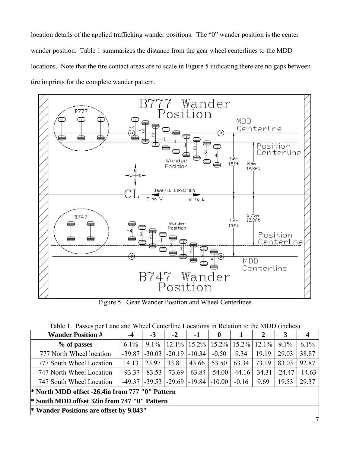location details of the applied trafficking wander positions. The "0" wander position is the center wander position. Table 1 summarizes the distance from the gear wheel centerlines to the MDD locations. Note that the tire contact areas are to scale in Figure 5 indicating there are no gaps between tire imprints for the complete wander pattern.



Figure 5. Gear Wander Position and Wheel Centerlines

|  |  |  |  |  | Table 1. Passes per Lane and Wheel Centerline Locations in Relation to the MDD (inches) |  |  |  |  |
|--|--|--|--|--|-----------------------------------------------------------------------------------------|--|--|--|--|
|--|--|--|--|--|-----------------------------------------------------------------------------------------|--|--|--|--|

| <b>Wander Position #</b>                                | $-4$     | $-3$     | $-2$     | $-1$                                     | $\mathbf 0$ |          | $\mathbf{2}$ | 3        | 4        |  |  |  |
|---------------------------------------------------------|----------|----------|----------|------------------------------------------|-------------|----------|--------------|----------|----------|--|--|--|
| % of passes                                             | $6.1\%$  | $9.1\%$  |          | $12.1\%$   15.2%   15.2%   15.2%   12.1% |             |          |              | $9.1\%$  | $6.1\%$  |  |  |  |
| 777 North Wheel location                                | $-39.87$ | $-30.03$ | $-20.19$ | $-10.34$                                 | $-0.50$     | 9.34     | 19.19        | 29.03    | 38.87    |  |  |  |
| 777 South Wheel Location                                | 14.13    | 23.97    | 33.81    | 43.66                                    | 53.50       | 63.34    | 73.19        | 83.03    | 92.87    |  |  |  |
| 747 North Wheel Location                                | $-93.37$ | $-83.53$ | $-73.69$ | $-63.84$                                 | $-54.00$    | $-44.16$ | $-34.31$     | $-24.47$ | $-14.63$ |  |  |  |
| 747 South Wheel Location                                | $-49.37$ |          |          | $-39.53$ $-29.69$ $-19.84$               | $-10.00$    | $-0.16$  | 9.69         | 19.53    | 29.37    |  |  |  |
| * North MDD offset -26.4in from 777 "0" Pattern         |          |          |          |                                          |             |          |              |          |          |  |  |  |
| <sup>*</sup> South MDD offset 32in from 747 "0" Pattern |          |          |          |                                          |             |          |              |          |          |  |  |  |
| * Wander Positions are offset by 9.843"                 |          |          |          |                                          |             |          |              |          |          |  |  |  |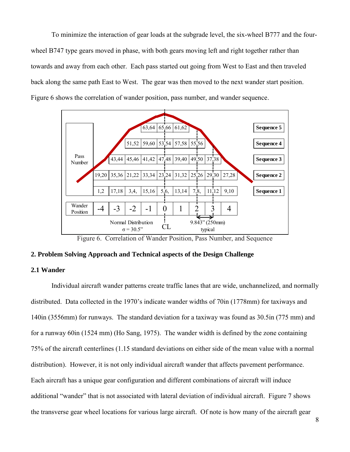To minimize the interaction of gear loads at the subgrade level, the six-wheel B777 and the fourwheel B747 type gears moved in phase, with both gears moving left and right together rather than towards and away from each other. Each pass started out going from West to East and then traveled back along the same path East to West. The gear was then moved to the next wander start position. Figure 6 shows the correlation of wander position, pass number, and wander sequence.



Figure 6. Correlation of Wander Position, Pass Number, and Sequence

### **2. Problem Solving Approach and Technical aspects of the Design Challenge**

### **2.1 Wander**

 Individual aircraft wander patterns create traffic lanes that are wide, unchannelized, and normally distributed. Data collected in the 1970's indicate wander widths of 70in (1778mm) for taxiways and 140in (3556mm) for runways. The standard deviation for a taxiway was found as 30.5in (775 mm) and for a runway 60in (1524 mm) (Ho Sang, 1975). The wander width is defined by the zone containing 75% of the aircraft centerlines (1.15 standard deviations on either side of the mean value with a normal distribution). However, it is not only individual aircraft wander that affects pavement performance. Each aircraft has a unique gear configuration and different combinations of aircraft will induce additional "wander" that is not associated with lateral deviation of individual aircraft. Figure 7 shows the transverse gear wheel locations for various large aircraft. Of note is how many of the aircraft gear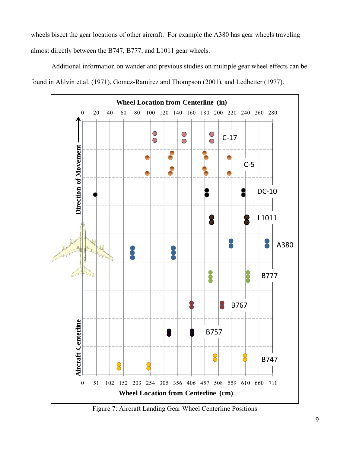wheels bisect the gear locations of other aircraft. For example the A380 has gear wheels traveling almost directly between the B747, B777, and L1011 gear wheels.

 Additional information on wander and previous studies on multiple gear wheel effects can be found in Ahlvin et.al. (1971), Gomez-Ramirez and Thompson (2001), and Ledbetter (1977).



Figure 7: Aircraft Landing Gear Wheel Centerline Positions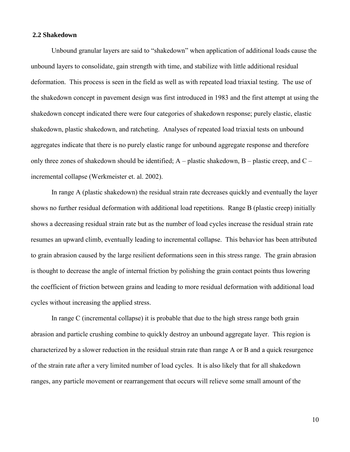#### **2.2 Shakedown**

 Unbound granular layers are said to "shakedown" when application of additional loads cause the unbound layers to consolidate, gain strength with time, and stabilize with little additional residual deformation. This process is seen in the field as well as with repeated load triaxial testing. The use of the shakedown concept in pavement design was first introduced in 1983 and the first attempt at using the shakedown concept indicated there were four categories of shakedown response; purely elastic, elastic shakedown, plastic shakedown, and ratcheting. Analyses of repeated load triaxial tests on unbound aggregates indicate that there is no purely elastic range for unbound aggregate response and therefore only three zones of shakedown should be identified;  $A -$  plastic shakedown,  $B -$  plastic creep, and  $C$ incremental collapse (Werkmeister et. al. 2002).

 In range A (plastic shakedown) the residual strain rate decreases quickly and eventually the layer shows no further residual deformation with additional load repetitions. Range B (plastic creep) initially shows a decreasing residual strain rate but as the number of load cycles increase the residual strain rate resumes an upward climb, eventually leading to incremental collapse. This behavior has been attributed to grain abrasion caused by the large resilient deformations seen in this stress range. The grain abrasion is thought to decrease the angle of internal friction by polishing the grain contact points thus lowering the coefficient of friction between grains and leading to more residual deformation with additional load cycles without increasing the applied stress.

 In range C (incremental collapse) it is probable that due to the high stress range both grain abrasion and particle crushing combine to quickly destroy an unbound aggregate layer. This region is characterized by a slower reduction in the residual strain rate than range A or B and a quick resurgence of the strain rate after a very limited number of load cycles. It is also likely that for all shakedown ranges, any particle movement or rearrangement that occurs will relieve some small amount of the

10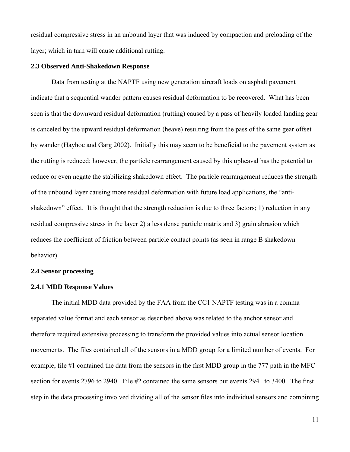residual compressive stress in an unbound layer that was induced by compaction and preloading of the layer; which in turn will cause additional rutting.

#### **2.3 Observed Anti-Shakedown Response**

 Data from testing at the NAPTF using new generation aircraft loads on asphalt pavement indicate that a sequential wander pattern causes residual deformation to be recovered. What has been seen is that the downward residual deformation (rutting) caused by a pass of heavily loaded landing gear is canceled by the upward residual deformation (heave) resulting from the pass of the same gear offset by wander (Hayhoe and Garg 2002). Initially this may seem to be beneficial to the pavement system as the rutting is reduced; however, the particle rearrangement caused by this upheaval has the potential to reduce or even negate the stabilizing shakedown effect. The particle rearrangement reduces the strength of the unbound layer causing more residual deformation with future load applications, the "antishakedown" effect. It is thought that the strength reduction is due to three factors; 1) reduction in any residual compressive stress in the layer 2) a less dense particle matrix and 3) grain abrasion which reduces the coefficient of friction between particle contact points (as seen in range B shakedown behavior).

#### **2.4 Sensor processing**

#### **2.4.1 MDD Response Values**

 The initial MDD data provided by the FAA from the CC1 NAPTF testing was in a comma separated value format and each sensor as described above was related to the anchor sensor and therefore required extensive processing to transform the provided values into actual sensor location movements. The files contained all of the sensors in a MDD group for a limited number of events. For example, file #1 contained the data from the sensors in the first MDD group in the 777 path in the MFC section for events 2796 to 2940. File #2 contained the same sensors but events 2941 to 3400. The first step in the data processing involved dividing all of the sensor files into individual sensors and combining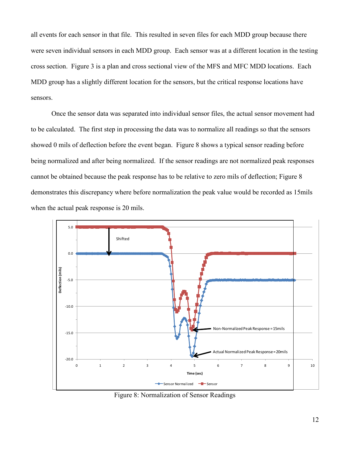all events for each sensor in that file. This resulted in seven files for each MDD group because there were seven individual sensors in each MDD group. Each sensor was at a different location in the testing cross section. Figure 3 is a plan and cross sectional view of the MFS and MFC MDD locations. Each MDD group has a slightly different location for the sensors, but the critical response locations have sensors.

 Once the sensor data was separated into individual sensor files, the actual sensor movement had to be calculated. The first step in processing the data was to normalize all readings so that the sensors showed 0 mils of deflection before the event began. Figure 8 shows a typical sensor reading before being normalized and after being normalized. If the sensor readings are not normalized peak responses cannot be obtained because the peak response has to be relative to zero mils of deflection; Figure 8 demonstrates this discrepancy where before normalization the peak value would be recorded as 15mils when the actual peak response is 20 mils.



Figure 8: Normalization of Sensor Readings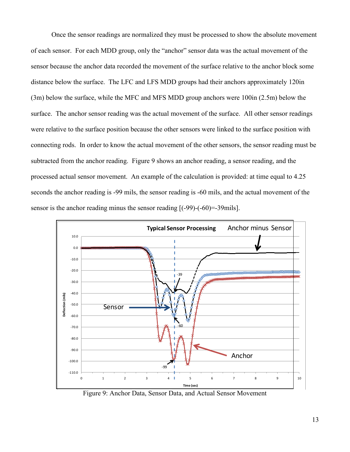Once the sensor readings are normalized they must be processed to show the absolute movement of each sensor. For each MDD group, only the "anchor" sensor data was the actual movement of the sensor because the anchor data recorded the movement of the surface relative to the anchor block some distance below the surface. The LFC and LFS MDD groups had their anchors approximately 120in (3m) below the surface, while the MFC and MFS MDD group anchors were 100in (2.5m) below the surface. The anchor sensor reading was the actual movement of the surface. All other sensor readings were relative to the surface position because the other sensors were linked to the surface position with connecting rods. In order to know the actual movement of the other sensors, the sensor reading must be subtracted from the anchor reading. Figure 9 shows an anchor reading, a sensor reading, and the processed actual sensor movement. An example of the calculation is provided: at time equal to 4.25 seconds the anchor reading is -99 mils, the sensor reading is -60 mils, and the actual movement of the sensor is the anchor reading minus the sensor reading  $[(-99)-(60)=-39$ mils].



Figure 9: Anchor Data, Sensor Data, and Actual Sensor Movement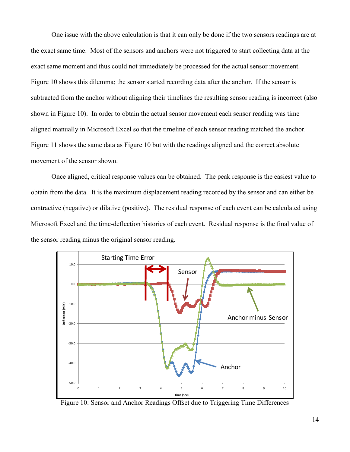One issue with the above calculation is that it can only be done if the two sensors readings are at the exact same time. Most of the sensors and anchors were not triggered to start collecting data at the exact same moment and thus could not immediately be processed for the actual sensor movement. Figure 10 shows this dilemma; the sensor started recording data after the anchor. If the sensor is subtracted from the anchor without aligning their timelines the resulting sensor reading is incorrect (also shown in Figure 10). In order to obtain the actual sensor movement each sensor reading was time aligned manually in Microsoft Excel so that the timeline of each sensor reading matched the anchor. Figure 11 shows the same data as Figure 10 but with the readings aligned and the correct absolute movement of the sensor shown.

 Once aligned, critical response values can be obtained. The peak response is the easiest value to obtain from the data. It is the maximum displacement reading recorded by the sensor and can either be contractive (negative) or dilative (positive). The residual response of each event can be calculated using Microsoft Excel and the time-deflection histories of each event. Residual response is the final value of the sensor reading minus the original sensor reading.



Figure 10: Sensor and Anchor Readings Offset due to Triggering Time Differences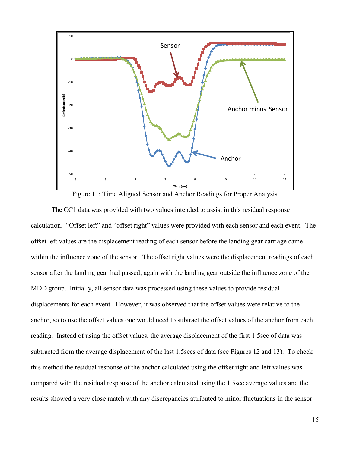

Figure 11: Time Aligned Sensor and Anchor Readings for Proper Analysis

 The CC1 data was provided with two values intended to assist in this residual response calculation. "Offset left" and "offset right" values were provided with each sensor and each event. The offset left values are the displacement reading of each sensor before the landing gear carriage came within the influence zone of the sensor. The offset right values were the displacement readings of each sensor after the landing gear had passed; again with the landing gear outside the influence zone of the MDD group. Initially, all sensor data was processed using these values to provide residual displacements for each event. However, it was observed that the offset values were relative to the anchor, so to use the offset values one would need to subtract the offset values of the anchor from each reading. Instead of using the offset values, the average displacement of the first 1.5sec of data was subtracted from the average displacement of the last 1.5secs of data (see Figures 12 and 13). To check this method the residual response of the anchor calculated using the offset right and left values was compared with the residual response of the anchor calculated using the 1.5sec average values and the results showed a very close match with any discrepancies attributed to minor fluctuations in the sensor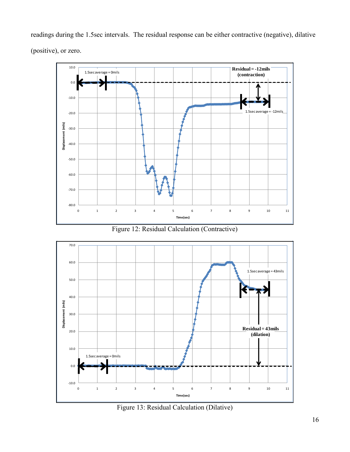readings during the 1.5sec intervals. The residual response can be either contractive (negative), dilative (positive), or zero.

**Residual Calculation**



Figure 12: Residual Calculation (Contractive)



Figure 13: Residual Calculation (Dilative)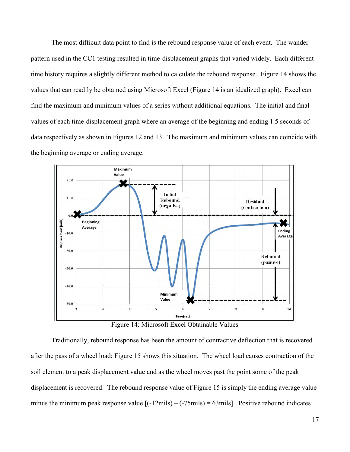The most difficult data point to find is the rebound response value of each event. The wander pattern used in the CC1 testing resulted in time-displacement graphs that varied widely. Each different time history requires a slightly different method to calculate the rebound response. Figure 14 shows the values that can readily be obtained using Microsoft Excel (Figure 14 is an idealized graph). Excel can find the maximum and minimum values of a series without additional equations. The initial and final values of each time-displacement graph where an average of the beginning and ending 1.5 seconds of data respectively as shown in Figures 12 and 13. The maximum and minimum values can coincide with the beginning average or ending average.



Figure 14: Microsoft Excel Obtainable Values

 Traditionally, rebound response has been the amount of contractive deflection that is recovered after the pass of a wheel load; Figure 15 shows this situation. The wheel load causes contraction of the soil element to a peak displacement value and as the wheel moves past the point some of the peak displacement is recovered. The rebound response value of Figure 15 is simply the ending average value minus the minimum peak response value  $[(-12mils) - (-75mils) = 63mils]$ . Positive rebound indicates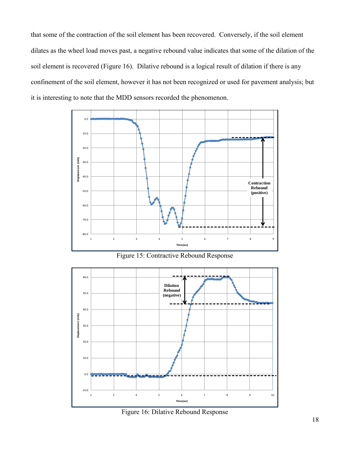that some of the contraction of the soil element has been recovered. Conversely, if the soil element dilates as the wheel load moves past, a negative rebound value indicates that some of the dilation of the soil element is recovered (Figure 16). Dilative rebound is a logical result of dilation if there is any confinement of the soil element, however it has not been recognized or used for pavement analysis; but it is interesting to note that the MDD sensors recorded the phenomenon.



Figure 15: Contractive Rebound Response



Figure 16: Dilative Rebound Response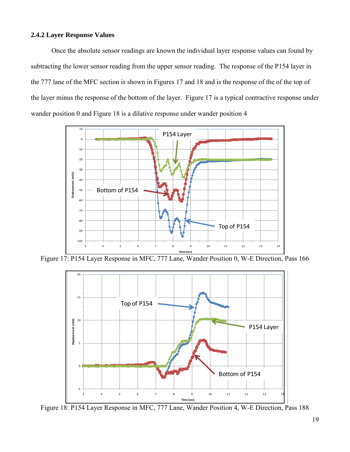### **2.4.2 Layer Response Values**

 Once the absolute sensor readings are known the individual layer response values can found by subtracting the lower sensor reading from the upper sensor reading. The response of the P154 layer in the 777 lane of the MFC section is shown in Figures 17 and 18 and is the response of the of the top of the layer minus the response of the bottom of the layer. Figure 17 is a typical contractive response under wander position 0 and Figure 18 is a dilative response under wander position 4



Figure 17: P154 Layer Response in MFC, 777 Lane, Wander Position 0, W-E Direction, Pass 166



Figure 18: P154 Layer Response in MFC, 777 Lane, Wander Position 4, W-E Direction, Pass 188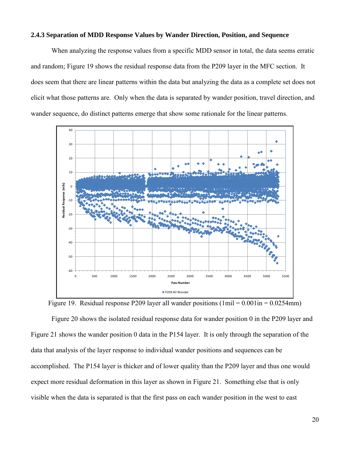#### **2.4.3 Separation of MDD Response Values by Wander Direction, Position, and Sequence**

 When analyzing the response values from a specific MDD sensor in total, the data seems erratic and random; Figure 19 shows the residual response data from the P209 layer in the MFC section. It does seem that there are linear patterns within the data but analyzing the data as a complete set does not elicit what those patterns are. Only when the data is separated by wander position, travel direction, and wander sequence, do distinct patterns emerge that show some rationale for the linear patterns.



Figure 19. Residual response P209 layer all wander positions  $(1\text{mil} = 0.001\text{ in} = 0.0254\text{mm})$ 

 Figure 20 shows the isolated residual response data for wander position 0 in the P209 layer and Figure 21 shows the wander position 0 data in the P154 layer. It is only through the separation of the data that analysis of the layer response to individual wander positions and sequences can be accomplished. The P154 layer is thicker and of lower quality than the P209 layer and thus one would expect more residual deformation in this layer as shown in Figure 21. Something else that is only visible when the data is separated is that the first pass on each wander position in the west to east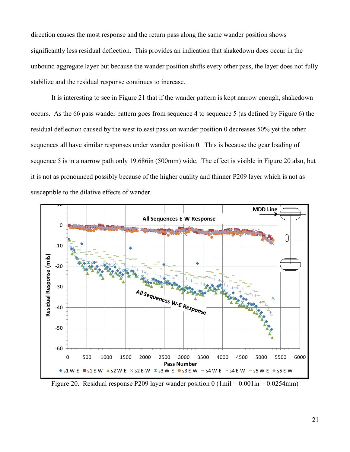direction causes the most response and the return pass along the same wander position shows significantly less residual deflection. This provides an indication that shakedown does occur in the unbound aggregate layer but because the wander position shifts every other pass, the layer does not fully stabilize and the residual response continues to increase.

 It is interesting to see in Figure 21 that if the wander pattern is kept narrow enough, shakedown occurs. As the 66 pass wander pattern goes from sequence 4 to sequence 5 (as defined by Figure 6) the residual deflection caused by the west to east pass on wander position 0 decreases 50% yet the other sequences all have similar responses under wander position 0. This is because the gear loading of sequence 5 is in a narrow path only 19.686in (500mm) wide. The effect is visible in Figure 20 also, but it is not as pronounced possibly because of the higher quality and thinner P209 layer which is not as susceptible to the dilative effects of wander. s p<br>le 1<br><del>10</del> **MDD Line** 



Figure 20. Residual response P209 layer wander position  $0(1\text{mil} = 0.001\text{in} = 0.0254\text{mm})$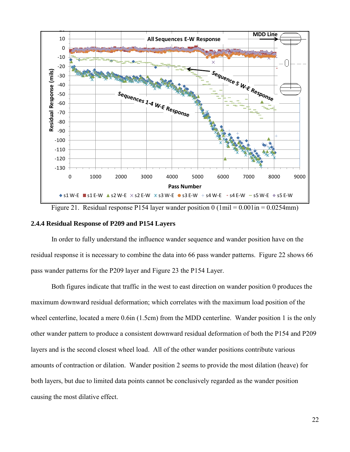

Figure 21. Residual response P154 layer wander position  $0 \text{ (1mil]} = 0.001 \text{ in } = 0.0254 \text{ mm}$ )

#### **2.4.4 Residual Response of P209 and P154 Layers**

 In order to fully understand the influence wander sequence and wander position have on the residual response it is necessary to combine the data into 66 pass wander patterns. Figure 22 shows 66 pass wander patterns for the P209 layer and Figure 23 the P154 Layer.

 Both figures indicate that traffic in the west to east direction on wander position 0 produces the maximum downward residual deformation; which correlates with the maximum load position of the wheel centerline, located a mere 0.6in (1.5cm) from the MDD centerline. Wander position 1 is the only other wander pattern to produce a consistent downward residual deformation of both the P154 and P209 layers and is the second closest wheel load. All of the other wander positions contribute various amounts of contraction or dilation. Wander position 2 seems to provide the most dilation (heave) for both layers, but due to limited data points cannot be conclusively regarded as the wander position causing the most dilative effect.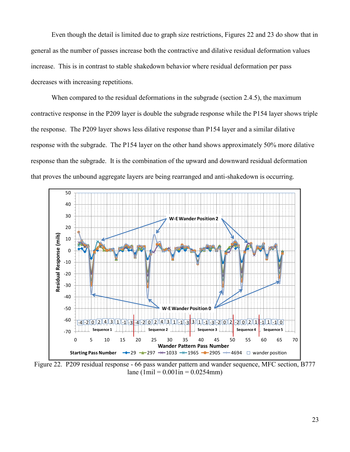Even though the detail is limited due to graph size restrictions, Figures 22 and 23 do show that in general as the number of passes increase both the contractive and dilative residual deformation values increase. This is in contrast to stable shakedown behavior where residual deformation per pass decreases with increasing repetitions.

When compared to the residual deformations in the subgrade (section 2.4.5), the maximum contractive response in the P209 layer is double the subgrade response while the P154 layer shows triple the response. The P209 layer shows less dilative response than P154 layer and a similar dilative response with the subgrade. The P154 layer on the other hand shows approximately 50% more dilative response than the subgrade. It is the combination of the upward and downward residual deformation that proves the unbound aggregate layers are being rearranged and anti-shakedown is occurring. n t<br>he<br>50<br>40



lane (1mil =  $0.001$ in =  $0.0254$ mm)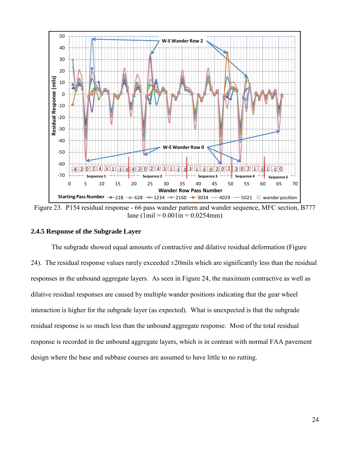

Figure 23. P154 residual response - 66 pass wander pattern and wander sequence, MFC section, B777 lane (1mil =  $0.001$ in =  $0.0254$ mm)

#### **2.4.5 Response of the Subgrade Layer**

 The subgrade showed equal amounts of contractive and dilative residual deformation (Figure 24). The residual response values rarely exceeded  $\pm 20$  mils which are significantly less than the residual responses in the unbound aggregate layers. As seen in Figure 24, the maximum contractive as well as dilative residual responses are caused by multiple wander positions indicating that the gear wheel interaction is higher for the subgrade layer (as expected). What is unexpected is that the subgrade residual response is so much less than the unbound aggregate response. Most of the total residual response is recorded in the unbound aggregate layers, which is in contrast with normal FAA pavement design where the base and subbase courses are assumed to have little to no rutting.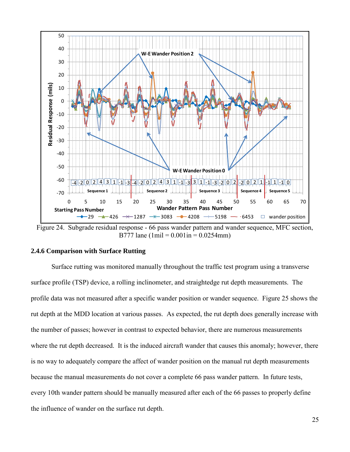

B777 lane (1mil =  $0.001$  in =  $0.0254$  mm)

### **2.4.6 Comparison with Surface Rutting**

 Surface rutting was monitored manually throughout the traffic test program using a transverse surface profile (TSP) device, a rolling inclinometer, and straightedge rut depth measurements. The profile data was not measured after a specific wander position or wander sequence. Figure 25 shows the rut depth at the MDD location at various passes. As expected, the rut depth does generally increase with the number of passes; however in contrast to expected behavior, there are numerous measurements where the rut depth decreased. It is the induced aircraft wander that causes this anomaly; however, there is no way to adequately compare the affect of wander position on the manual rut depth measurements because the manual measurements do not cover a complete 66 pass wander pattern. In future tests, every 10th wander pattern should be manually measured after each of the 66 passes to properly define the influence of wander on the surface rut depth.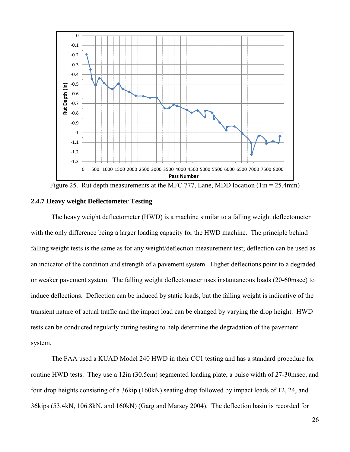

Figure 25. Rut depth measurements at the MFC 777, Lane, MDD location  $(1in = 25.4mm)$ 

### **2.4.7 Heavy weight Deflectometer Testing**

 The heavy weight deflectometer (HWD) is a machine similar to a falling weight deflectometer with the only difference being a larger loading capacity for the HWD machine. The principle behind falling weight tests is the same as for any weight/deflection measurement test; deflection can be used as an indicator of the condition and strength of a pavement system. Higher deflections point to a degraded or weaker pavement system. The falling weight deflectometer uses instantaneous loads (20-60msec) to induce deflections. Deflection can be induced by static loads, but the falling weight is indicative of the transient nature of actual traffic and the impact load can be changed by varying the drop height. HWD tests can be conducted regularly during testing to help determine the degradation of the pavement system.

 The FAA used a KUAD Model 240 HWD in their CC1 testing and has a standard procedure for routine HWD tests. They use a 12in (30.5cm) segmented loading plate, a pulse width of 27-30msec, and four drop heights consisting of a 36kip (160kN) seating drop followed by impact loads of 12, 24, and 36kips (53.4kN, 106.8kN, and 160kN) (Garg and Marsey 2004). The deflection basin is recorded for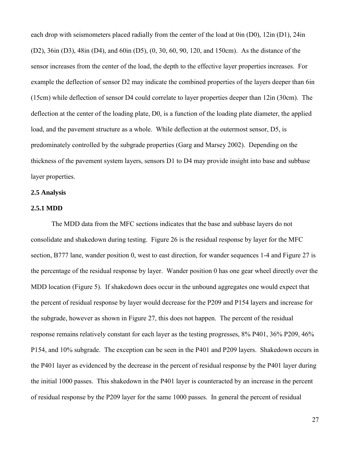each drop with seismometers placed radially from the center of the load at 0in (D0), 12in (D1), 24in (D2), 36in (D3), 48in (D4), and 60in (D5), (0, 30, 60, 90, 120, and 150cm). As the distance of the sensor increases from the center of the load, the depth to the effective layer properties increases. For example the deflection of sensor D2 may indicate the combined properties of the layers deeper than 6in (15cm) while deflection of sensor D4 could correlate to layer properties deeper than 12in (30cm). The deflection at the center of the loading plate, D0, is a function of the loading plate diameter, the applied load, and the pavement structure as a whole. While deflection at the outermost sensor, D5, is predominately controlled by the subgrade properties (Garg and Marsey 2002). Depending on the thickness of the pavement system layers, sensors D1 to D4 may provide insight into base and subbase layer properties.

### **2.5 Analysis**

#### **2.5.1 MDD**

 The MDD data from the MFC sections indicates that the base and subbase layers do not consolidate and shakedown during testing. Figure 26 is the residual response by layer for the MFC section, B777 lane, wander position 0, west to east direction, for wander sequences 1-4 and Figure 27 is the percentage of the residual response by layer. Wander position 0 has one gear wheel directly over the MDD location (Figure 5). If shakedown does occur in the unbound aggregates one would expect that the percent of residual response by layer would decrease for the P209 and P154 layers and increase for the subgrade, however as shown in Figure 27, this does not happen. The percent of the residual response remains relatively constant for each layer as the testing progresses, 8% P401, 36% P209, 46% P154, and 10% subgrade. The exception can be seen in the P401 and P209 layers. Shakedown occurs in the P401 layer as evidenced by the decrease in the percent of residual response by the P401 layer during the initial 1000 passes. This shakedown in the P401 layer is counteracted by an increase in the percent of residual response by the P209 layer for the same 1000 passes. In general the percent of residual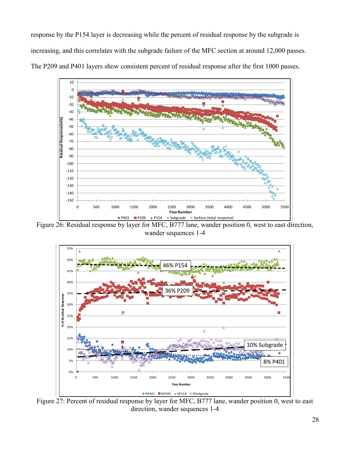response by the P154 layer is decreasing while the percent of residual response by the subgrade is increasing, and this correlates with the subgrade failure of the MFC section at around 12,000 passes. The P209 and P401 layers show consistent percent of residual response after the first 1000 passes. **S** show consistent percent of residual response after the



Figure 26: Residual response by layer for MFC, B777 lane, wander position 0, west to east direction, wander sequences 1-4



Figure 27: Percent of residual response by layer for MFC, B777 lane, wander position 0, west to east direction, wander sequences 1-4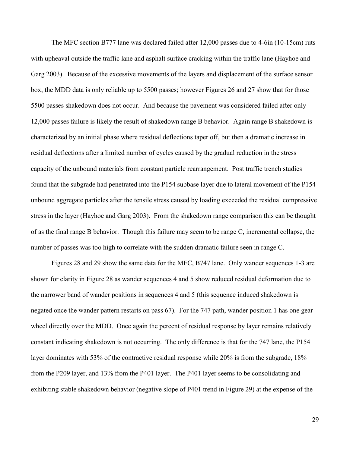The MFC section B777 lane was declared failed after 12,000 passes due to 4-6in (10-15cm) ruts with upheaval outside the traffic lane and asphalt surface cracking within the traffic lane (Hayhoe and Garg 2003). Because of the excessive movements of the layers and displacement of the surface sensor box, the MDD data is only reliable up to 5500 passes; however Figures 26 and 27 show that for those 5500 passes shakedown does not occur. And because the pavement was considered failed after only 12,000 passes failure is likely the result of shakedown range B behavior. Again range B shakedown is characterized by an initial phase where residual deflections taper off, but then a dramatic increase in residual deflections after a limited number of cycles caused by the gradual reduction in the stress capacity of the unbound materials from constant particle rearrangement. Post traffic trench studies found that the subgrade had penetrated into the P154 subbase layer due to lateral movement of the P154 unbound aggregate particles after the tensile stress caused by loading exceeded the residual compressive stress in the layer (Hayhoe and Garg 2003). From the shakedown range comparison this can be thought of as the final range B behavior. Though this failure may seem to be range C, incremental collapse, the number of passes was too high to correlate with the sudden dramatic failure seen in range C.

 Figures 28 and 29 show the same data for the MFC, B747 lane. Only wander sequences 1-3 are shown for clarity in Figure 28 as wander sequences 4 and 5 show reduced residual deformation due to the narrower band of wander positions in sequences 4 and 5 (this sequence induced shakedown is negated once the wander pattern restarts on pass 67). For the 747 path, wander position 1 has one gear wheel directly over the MDD. Once again the percent of residual response by layer remains relatively constant indicating shakedown is not occurring. The only difference is that for the 747 lane, the P154 layer dominates with 53% of the contractive residual response while 20% is from the subgrade, 18% from the P209 layer, and 13% from the P401 layer. The P401 layer seems to be consolidating and exhibiting stable shakedown behavior (negative slope of P401 trend in Figure 29) at the expense of the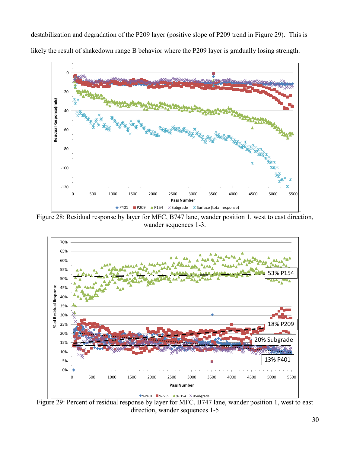destabilization and degradation of the P209 layer (positive slope of P209 trend in Figure 29). This is likely the result of shakedown range B behavior where the P209 layer is gradually losing strength. **Wander Position 1 September 1-3 CONTRACTIVE RESPONSE**<br> **Wander Position 1-3 CONTRACTIVE RESPONSE** 



Figure 28: Residual response by layer for MFC, B747 lane, wander position 1, west to east direction, wander sequences 1-3.



Figure 29: Percent of residual response by layer for MFC, B747 lane, wander position 1, west to east direction, wander sequences 1-5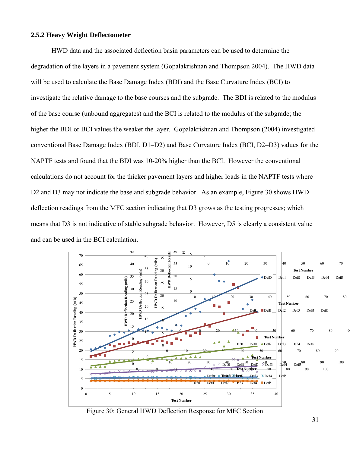## **2.5.2 Heavy Weight Deflectometer**

 HWD data and the associated deflection basin parameters can be used to determine the degradation of the layers in a pavement system (Gopalakrishnan and Thompson 2004). The HWD data will be used to calculate the Base Damage Index (BDI) and the Base Curvature Index (BCI) to investigate the relative damage to the base courses and the subgrade. The BDI is related to the modulus of the base course (unbound aggregates) and the BCI is related to the modulus of the subgrade; the higher the BDI or BCI values the weaker the layer. Gopalakrishnan and Thompson (2004) investigated conventional Base Damage Index (BDI, D1-D2) and Base Curvature Index (BCI, D2-D3) values for the NAPTF tests and found that the BDI was 10-20% higher than the BCI. However the conventional calculations do not account for the thicker pavement layers and higher loads in the NAPTF tests where D2 and D3 may not indicate the base and subgrade behavior. As an example, Figure 30 shows HWD deflection readings from the MFC section indicating that D3 grows as the testing progresses; which means that D3 is not indicative of stable subgrade behavior. However, D5 is clearly a consistent value and can be used in the BCI calculation.  $\lim_{\epsilon \to 0}$ at<br>vi  $\ddot{\phantom{0}}$ 



Figure 30: General HWD Deflection Response for MFC Section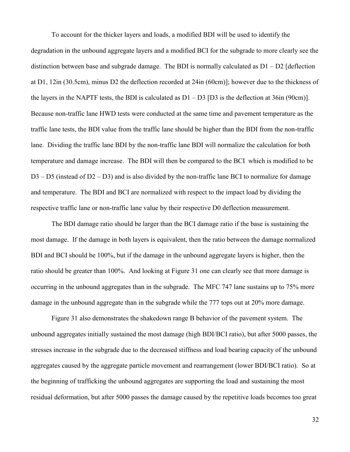To account for the thicker layers and loads, a modified BDI will be used to identify the degradation in the unbound aggregate layers and a modified BCI for the subgrade to more clearly see the distinction between base and subgrade damage. The BDI is normally calculated as  $D1 - D2$  [deflection at D1, 12in (30.5cm), minus D2 the deflection recorded at 24in (60cm)]; however due to the thickness of the layers in the NAPTF tests, the BDI is calculated as  $D1 - D3$  [D3 is the deflection at 36in (90cm)]. Because non-traffic lane HWD tests were conducted at the same time and pavement temperature as the traffic lane tests, the BDI value from the traffic lane should be higher than the BDI from the non-traffic lane. Dividing the traffic lane BDI by the non-traffic lane BDI will normalize the calculation for both temperature and damage increase. The BDI will then be compared to the BCI which is modified to be D3 – D5 (instead of D2 – D3) and is also divided by the non-traffic lane BCI to normalize for damage and temperature. The BDI and BCI are normalized with respect to the impact load by dividing the respective traffic lane or non-traffic lane value by their respective D0 deflection measurement.

 The BDI damage ratio should be larger than the BCI damage ratio if the base is sustaining the most damage. If the damage in both layers is equivalent, then the ratio between the damage normalized BDI and BCI should be 100%, but if the damage in the unbound aggregate layers is higher, then the ratio should be greater than 100%. And looking at Figure 31 one can clearly see that more damage is occurring in the unbound aggregates than in the subgrade. The MFC 747 lane sustains up to 75% more damage in the unbound aggregate than in the subgrade while the 777 tops out at 20% more damage.

 Figure 31 also demonstrates the shakedown range B behavior of the pavement system. The unbound aggregates initially sustained the most damage (high BDI/BCI ratio), but after 5000 passes, the stresses increase in the subgrade due to the decreased stiffness and load bearing capacity of the unbound aggregates caused by the aggregate particle movement and rearrangement (lower BDI/BCI ratio). So at the beginning of trafficking the unbound aggregates are supporting the load and sustaining the most residual deformation, but after 5000 passes the damage caused by the repetitive loads becomes too great

32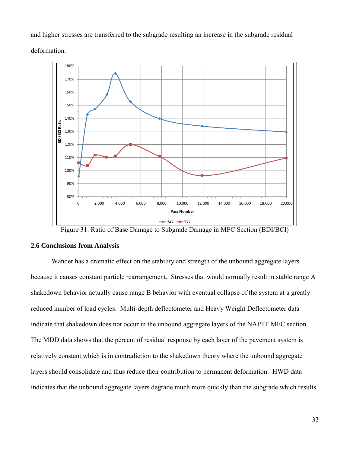and higher stresses are transferred to the subgrade resulting an increase in the subgrade residual deformation.



Figure 31: Ratio of Base Damage to Subgrade Damage in MFC Section (BDI/BCI)

#### **2.6 Conclusions from Analysis**

 Wander has a dramatic effect on the stability and strength of the unbound aggregate layers because it causes constant particle rearrangement. Stresses that would normally result in stable range A shakedown behavior actually cause range B behavior with eventual collapse of the system at a greatly reduced number of load cycles. Multi-depth deflectometer and Heavy Weight Deflectometer data indicate that shakedown does not occur in the unbound aggregate layers of the NAPTF MFC section. The MDD data shows that the percent of residual response by each layer of the pavement system is relatively constant which is in contradiction to the shakedown theory where the unbound aggregate layers should consolidate and thus reduce their contribution to permanent deformation. HWD data indicates that the unbound aggregate layers degrade much more quickly than the subgrade which results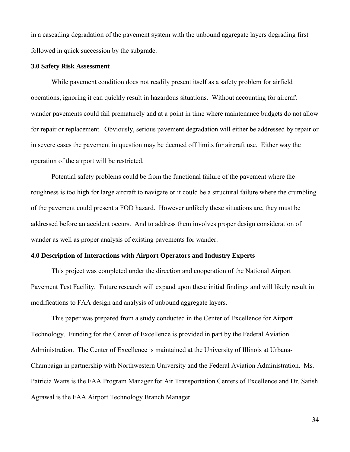in a cascading degradation of the pavement system with the unbound aggregate layers degrading first followed in quick succession by the subgrade.

#### **3.0 Safety Risk Assessment**

 While pavement condition does not readily present itself as a safety problem for airfield operations, ignoring it can quickly result in hazardous situations. Without accounting for aircraft wander pavements could fail prematurely and at a point in time where maintenance budgets do not allow for repair or replacement. Obviously, serious pavement degradation will either be addressed by repair or in severe cases the pavement in question may be deemed off limits for aircraft use. Either way the operation of the airport will be restricted.

 Potential safety problems could be from the functional failure of the pavement where the roughness is too high for large aircraft to navigate or it could be a structural failure where the crumbling of the pavement could present a FOD hazard. However unlikely these situations are, they must be addressed before an accident occurs. And to address them involves proper design consideration of wander as well as proper analysis of existing pavements for wander.

### **4.0 Description of Interactions with Airport Operators and Industry Experts**

 This project was completed under the direction and cooperation of the National Airport Pavement Test Facility. Future research will expand upon these initial findings and will likely result in modifications to FAA design and analysis of unbound aggregate layers.

 This paper was prepared from a study conducted in the Center of Excellence for Airport Technology. Funding for the Center of Excellence is provided in part by the Federal Aviation Administration. The Center of Excellence is maintained at the University of Illinois at Urbana-Champaign in partnership with Northwestern University and the Federal Aviation Administration. Ms. Patricia Watts is the FAA Program Manager for Air Transportation Centers of Excellence and Dr. Satish Agrawal is the FAA Airport Technology Branch Manager.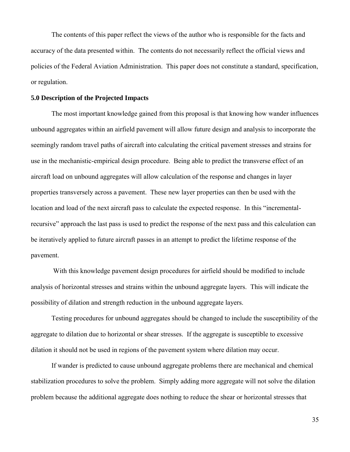The contents of this paper reflect the views of the author who is responsible for the facts and accuracy of the data presented within. The contents do not necessarily reflect the official views and policies of the Federal Aviation Administration. This paper does not constitute a standard, specification, or regulation.

#### **5.0 Description of the Projected Impacts**

 The most important knowledge gained from this proposal is that knowing how wander influences unbound aggregates within an airfield pavement will allow future design and analysis to incorporate the seemingly random travel paths of aircraft into calculating the critical pavement stresses and strains for use in the mechanistic-empirical design procedure. Being able to predict the transverse effect of an aircraft load on unbound aggregates will allow calculation of the response and changes in layer properties transversely across a pavement. These new layer properties can then be used with the location and load of the next aircraft pass to calculate the expected response. In this "incrementalrecursive" approach the last pass is used to predict the response of the next pass and this calculation can be iteratively applied to future aircraft passes in an attempt to predict the lifetime response of the pavement.

 With this knowledge pavement design procedures for airfield should be modified to include analysis of horizontal stresses and strains within the unbound aggregate layers. This will indicate the possibility of dilation and strength reduction in the unbound aggregate layers.

 Testing procedures for unbound aggregates should be changed to include the susceptibility of the aggregate to dilation due to horizontal or shear stresses. If the aggregate is susceptible to excessive dilation it should not be used in regions of the pavement system where dilation may occur.

 If wander is predicted to cause unbound aggregate problems there are mechanical and chemical stabilization procedures to solve the problem. Simply adding more aggregate will not solve the dilation problem because the additional aggregate does nothing to reduce the shear or horizontal stresses that

35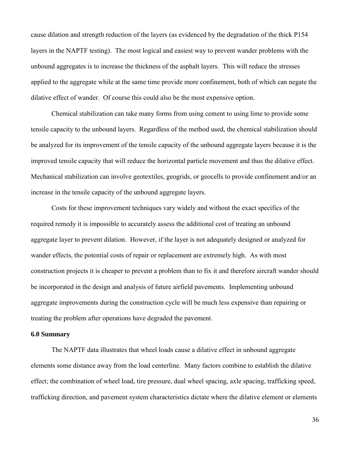cause dilation and strength reduction of the layers (as evidenced by the degradation of the thick P154 layers in the NAPTF testing). The most logical and easiest way to prevent wander problems with the unbound aggregates is to increase the thickness of the asphalt layers. This will reduce the stresses applied to the aggregate while at the same time provide more confinement, both of which can negate the dilative effect of wander. Of course this could also be the most expensive option.

 Chemical stabilization can take many forms from using cement to using lime to provide some tensile capacity to the unbound layers. Regardless of the method used, the chemical stabilization should be analyzed for its improvement of the tensile capacity of the unbound aggregate layers because it is the improved tensile capacity that will reduce the horizontal particle movement and thus the dilative effect. Mechanical stabilization can involve geotextiles, geogrids, or geocells to provide confinement and/or an increase in the tensile capacity of the unbound aggregate layers.

Costs for these improvement techniques vary widely and without the exact specifics of the required remedy it is impossible to accurately assess the additional cost of treating an unbound aggregate layer to prevent dilation. However, if the layer is not adequately designed or analyzed for wander effects, the potential costs of repair or replacement are extremely high. As with most construction projects it is cheaper to prevent a problem than to fix it and therefore aircraft wander should be incorporated in the design and analysis of future airfield pavements. Implementing unbound aggregate improvements during the construction cycle will be much less expensive than repairing or treating the problem after operations have degraded the pavement.

#### **6.0 Summary**

 The NAPTF data illustrates that wheel loads cause a dilative effect in unbound aggregate elements some distance away from the load centerline. Many factors combine to establish the dilative effect; the combination of wheel load, tire pressure, dual wheel spacing, axle spacing, trafficking speed, trafficking direction, and pavement system characteristics dictate where the dilative element or elements

36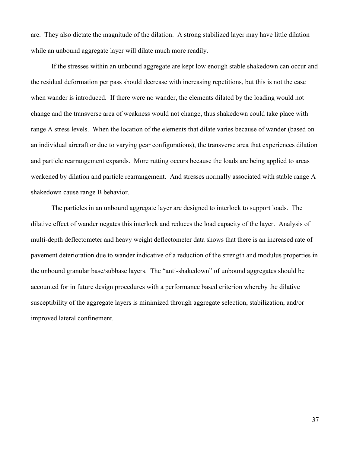are. They also dictate the magnitude of the dilation. A strong stabilized layer may have little dilation while an unbound aggregate layer will dilate much more readily.

 If the stresses within an unbound aggregate are kept low enough stable shakedown can occur and the residual deformation per pass should decrease with increasing repetitions, but this is not the case when wander is introduced. If there were no wander, the elements dilated by the loading would not change and the transverse area of weakness would not change, thus shakedown could take place with range A stress levels. When the location of the elements that dilate varies because of wander (based on an individual aircraft or due to varying gear configurations), the transverse area that experiences dilation and particle rearrangement expands. More rutting occurs because the loads are being applied to areas weakened by dilation and particle rearrangement. And stresses normally associated with stable range A shakedown cause range B behavior.

 The particles in an unbound aggregate layer are designed to interlock to support loads. The dilative effect of wander negates this interlock and reduces the load capacity of the layer. Analysis of multi-depth deflectometer and heavy weight deflectometer data shows that there is an increased rate of pavement deterioration due to wander indicative of a reduction of the strength and modulus properties in the unbound granular base/subbase layers. The "anti-shakedown" of unbound aggregates should be accounted for in future design procedures with a performance based criterion whereby the dilative susceptibility of the aggregate layers is minimized through aggregate selection, stabilization, and/or improved lateral confinement.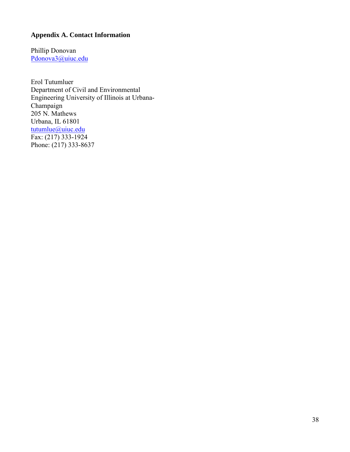## **Appendix A. Contact Information**

Phillip Donovan Pdonova3@uiuc.edu

Erol Tutumluer Department of Civil and Environmental Engineering University of Illinois at Urbana-Champaign 205 N. Mathews Urbana, IL 61801 tutumlue@uiuc.edu Fax: (217) 333-1924 Phone:  $(217)$  333-8637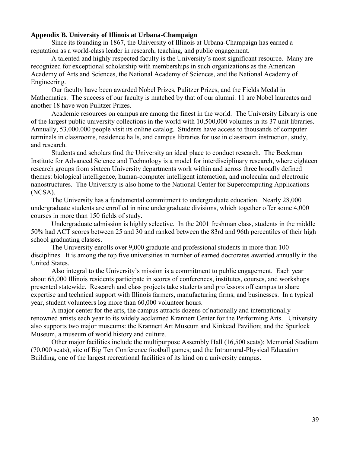### **Appendix B. University of Illinois at Urbana-Champaign**

Since its founding in 1867, the University of Illinois at Urbana-Champaign has earned a reputation as a world-class leader in research, teaching, and public engagement.

A talented and highly respected faculty is the University's most significant resource. Many are recognized for exceptional scholarship with memberships in such organizations as the American Academy of Arts and Sciences, the National Academy of Sciences, and the National Academy of Engineering.

Our faculty have been awarded Nobel Prizes, Pulitzer Prizes, and the Fields Medal in Mathematics. The success of our faculty is matched by that of our alumni: 11 are Nobel laureates and another 18 have won Pulitzer Prizes.

Academic resources on campus are among the finest in the world. The University Library is one of the largest public university collections in the world with 10,500,000 volumes in its 37 unit libraries. Annually, 53,000,000 people visit its online catalog. Students have access to thousands of computer terminals in classrooms, residence halls, and campus libraries for use in classroom instruction, study, and research.

Students and scholars find the University an ideal place to conduct research. The Beckman Institute for Advanced Science and Technology is a model for interdisciplinary research, where eighteen research groups from sixteen University departments work within and across three broadly defined themes: biological intelligence, human-computer intelligent interaction, and molecular and electronic nanostructures. The University is also home to the National Center for Supercomputing Applications (NCSA).

The University has a fundamental commitment to undergraduate education. Nearly 28,000 undergraduate students are enrolled in nine undergraduate divisions, which together offer some 4,000 courses in more than 150 fields of study.

Undergraduate admission is highly selective. In the 2001 freshman class, students in the middle 50% had ACT scores between 25 and 30 and ranked between the 83rd and 96th percentiles of their high school graduating classes.

The University enrolls over 9,000 graduate and professional students in more than 100 disciplines. It is among the top five universities in number of earned doctorates awarded annually in the United States.

Also integral to the University's mission is a commitment to public engagement. Each year about 65,000 Illinois residents participate in scores of conferences, institutes, courses, and workshops presented statewide. Research and class projects take students and professors off campus to share expertise and technical support with Illinois farmers, manufacturing firms, and businesses. In a typical year, student volunteers log more than 60,000 volunteer hours.

A major center for the arts, the campus attracts dozens of nationally and internationally renowned artists each year to its widely acclaimed Krannert Center for the Performing Arts. University also supports two major museums: the Krannert Art Museum and Kinkead Pavilion; and the Spurlock Museum, a museum of world history and culture.

Other major facilities include the multipurpose Assembly Hall (16,500 seats); Memorial Stadium (70,000 seats), site of Big Ten Conference football games; and the Intramural-Physical Education Building, one of the largest recreational facilities of its kind on a university campus.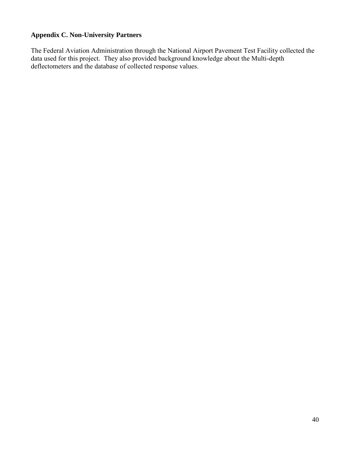## **Appendix C. Non-University Partners**

The Federal Aviation Administration through the National Airport Pavement Test Facility collected the data used for this project. They also provided background knowledge about the Multi-depth deflectometers and the database of collected response values.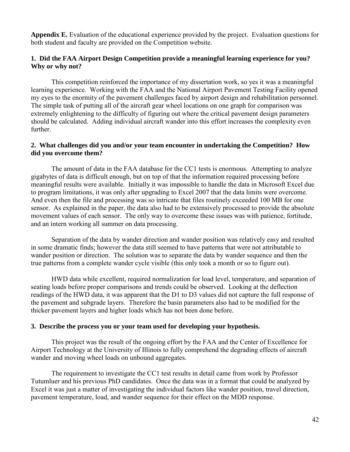**Appendix E.** Evaluation of the educational experience provided by the project. Evaluation questions for both student and faculty are provided on the Competition website.

## **1. Did the FAA Airport Design Competition provide a meaningful learning experience for you? Why or why not?**

 This competition reinforced the importance of my dissertation work, so yes it was a meaningful learning experience. Working with the FAA and the National Airport Pavement Testing Facility opened my eyes to the enormity of the pavement challenges faced by airport design and rehabilitation personnel. The simple task of putting all of the aircraft gear wheel locations on one graph for comparison was extremely enlightening to the difficulty of figuring out where the critical pavement design parameters should be calculated. Adding individual aircraft wander into this effort increases the complexity even further.

## **2. What challenges did you and/or your team encounter in undertaking the Competition? How did you overcome them?**

 The amount of data in the FAA database for the CC1 tests is enormous. Attempting to analyze gigabytes of data is difficult enough, but on top of that the information required processing before meaningful results were available. Initially it was impossible to handle the data in Microsoft Excel due to program limitations, it was only after upgrading to Excel 2007 that the data limits were overcome. And even then the file and processing was so intricate that files routinely exceeded 100 MB for one sensor. As explained in the paper, the data also had to be extensively processed to provide the absolute movement values of each sensor. The only way to overcome these issues was with patience, fortitude, and an intern working all summer on data processing.

 Separation of the data by wander direction and wander position was relatively easy and resulted in some dramatic finds; however the data still seemed to have patterns that were not attributable to wander position or direction. The solution was to separate the data by wander sequence and then the true patterns from a complete wander cycle visible (this only took a month or so to figure out).

 HWD data while excellent, required normalization for load level, temperature, and separation of seating loads before proper comparisons and trends could be observed. Looking at the deflection readings of the HWD data, it was apparent that the D1 to D3 values did not capture the full response of the pavement and subgrade layers. Therefore the basin parameters also had to be modified for the thicker pavement layers and higher loads which has not been done before.

### **3. Describe the process you or your team used for developing your hypothesis.**

 This project was the result of the ongoing effort by the FAA and the Center of Excellence for Airport Technology at the University of Illinois to fully comprehend the degrading effects of aircraft wander and moving wheel loads on unbound aggregates.

 The requirement to investigate the CC1 test results in detail came from work by Professor Tutumluer and his previous PhD candidates. Once the data was in a format that could be analyzed by Excel it was just a matter of investigating the individual factors like wander position, travel direction, pavement temperature, load, and wander sequence for their effect on the MDD response.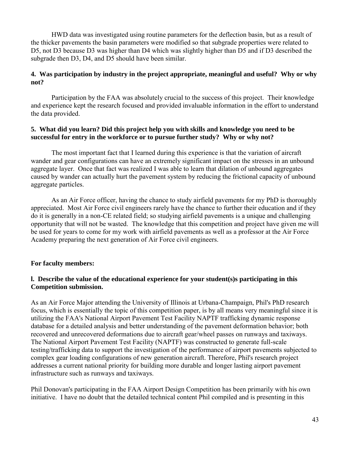HWD data was investigated using routine parameters for the deflection basin, but as a result of the thicker pavements the basin parameters were modified so that subgrade properties were related to D5, not D3 because D3 was higher than D4 which was slightly higher than D5 and if D3 described the subgrade then D3, D4, and D5 should have been similar.

## **4. Was participation by industry in the project appropriate, meaningful and useful? Why or why not?**

 Participation by the FAA was absolutely crucial to the success of this project. Their knowledge and experience kept the research focused and provided invaluable information in the effort to understand the data provided.

### **5. What did you learn? Did this project help you with skills and knowledge you need to be successful for entry in the workforce or to pursue further study? Why or why not?**

 The most important fact that I learned during this experience is that the variation of aircraft wander and gear configurations can have an extremely significant impact on the stresses in an unbound aggregate layer. Once that fact was realized I was able to learn that dilation of unbound aggregates caused by wander can actually hurt the pavement system by reducing the frictional capacity of unbound aggregate particles.

 As an Air Force officer, having the chance to study airfield pavements for my PhD is thoroughly appreciated. Most Air Force civil engineers rarely have the chance to further their education and if they do it is generally in a non-CE related field; so studying airfield pavements is a unique and challenging opportunity that will not be wasted. The knowledge that this competition and project have given me will be used for years to come for my work with airfield pavements as well as a professor at the Air Force Academy preparing the next generation of Air Force civil engineers.

### **For faculty members:**

## **l. Describe the value of the educational experience for your student(s)s participating in this Competition submission.**

As an Air Force Major attending the University of Illinois at Urbana-Champaign, Phil's PhD research focus, which is essentially the topic of this competition paper, is by all means very meaningful since it is utilizing the FAA's National Airport Pavement Test Facility NAPTF trafficking dynamic response database for a detailed analysis and better understanding of the pavement deformation behavior; both recovered and unrecovered deformations due to aircraft gear/wheel passes on runways and taxiways. The National Airport Pavement Test Facility (NAPTF) was constructed to generate full-scale testing/trafficking data to support the investigation of the performance of airport pavements subjected to complex gear loading configurations of new generation aircraft. Therefore, Phil's research project addresses a current national priority for building more durable and longer lasting airport pavement infrastructure such as runways and taxiways.

Phil Donovan's participating in the FAA Airport Design Competition has been primarily with his own initiative. I have no doubt that the detailed technical content Phil compiled and is presenting in this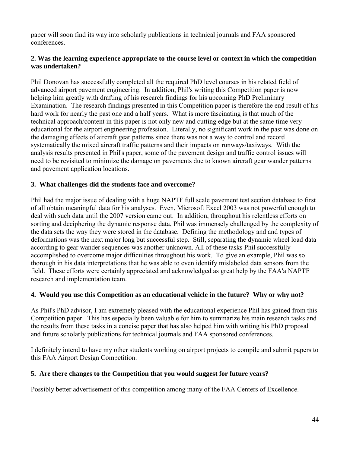paper will soon find its way into scholarly publications in technical journals and FAA sponsored conferences.

## **2. Was the learning experience appropriate to the course level or context in which the competition was undertaken?**

Phil Donovan has successfully completed all the required PhD level courses in his related field of advanced airport pavement engineering. In addition, Phil's writing this Competition paper is now helping him greatly with drafting of his research findings for his upcoming PhD Preliminary Examination. The research findings presented in this Competition paper is therefore the end result of his hard work for nearly the past one and a half years. What is more fascinating is that much of the technical approach/content in this paper is not only new and cutting edge but at the same time very educational for the airport engineering profession. Literally, no significant work in the past was done on the damaging effects of aircraft gear patterns since there was not a way to control and record systematically the mixed aircraft traffic patterns and their impacts on runways/taxiways. With the analysis results presented in Phil's paper, some of the pavement design and traffic control issues will need to be revisited to minimize the damage on pavements due to known aircraft gear wander patterns and pavement application locations.

# **3. What challenges did the students face and overcome?**

Phil had the major issue of dealing with a huge NAPTF full scale pavement test section database to first of all obtain meaningful data for his analyses. Even, Microsoft Excel 2003 was not powerful enough to deal with such data until the 2007 version came out. In addition, throughout his relentless efforts on sorting and deciphering the dynamic response data, Phil was immensely challenged by the complexity of the data sets the way they were stored in the database. Defining the methodology and and types of deformations was the next major long but successful step. Still, separating the dynamic wheel load data according to gear wander sequences was another unknown. All of these tasks Phil successfully accomplished to overcome major difficulties throughout his work. To give an example, Phil was so thorough in his data interpretations that he was able to even identify mislabeled data sensors from the field. These efforts were certainly appreciated and acknowledged as great help by the FAA'a NAPTF research and implementation team.

## **4. Would you use this Competition as an educational vehicle in the future? Why or why not?**

As Phil's PhD advisor, I am extremely pleased with the educational experience Phil has gained from this Competition paper. This has especially been valuable for him to summarize his main research tasks and the results from these tasks in a concise paper that has also helped him with writing his PhD proposal and future scholarly publications for technical journals and FAA sponsored conferences.

I definitely intend to have my other students working on airport projects to compile and submit papers to this FAA Airport Design Competition.

## **5. Are there changes to the Competition that you would suggest for future years?**

Possibly better advertisement of this competition among many of the FAA Centers of Excellence.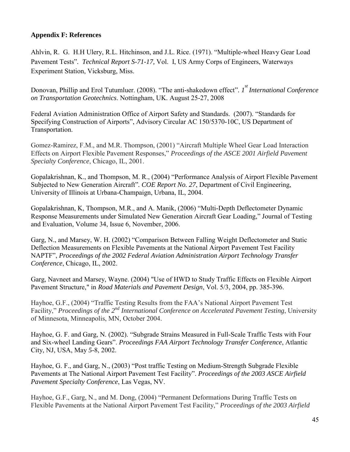## **Appendix F: References**

Ahlvin, R. G. H.H Ulery, R.L. Hitchinson, and J.L. Rice. (1971). "Multiple-wheel Heavy Gear Load Pavement Tests"*. Technical Report S-71-17,* Vol. I, US Army Corps of Engineers, Waterways Experiment Station, Vicksburg, Miss.

Donovan, Phillip and Erol Tutumluer. (2008). "The anti-shakedown effect". I<sup>st</sup> International Conference *on Transportation Geotechnics*. Nottingham, UK. August 25-27, 2008

Federal Aviation Administration Office of Airport Safety and Standards. (2007). "Standards for Specifying Construction of Airports", Advisory Circular AC 150/5370-10C, US Department of Transportation.

Gomez-Ramirez, F.M., and M.R. Thompson, (2001) "Aircraft Multiple Wheel Gear Load Interaction Effects on Airport Flexible Pavement Responses," *Proceedings of the ASCE 2001 Airfield Pavement Specialty Conference*, Chicago, IL, 2001.

Gopalakrishnan, K., and Thompson, M. R., (2004) "Performance Analysis of Airport Flexible Pavement Subjected to New Generation Aircraft"*. COE Report No. 27*, Department of Civil Engineering, University of Illinois at Urbana-Champaign, Urbana, IL, 2004.

Gopalakrishnan, K, Thompson, M.R., and A. Manik, (2006) "Multi-Depth Deflectometer Dynamic Response Measurements under Simulated New Generation Aircraft Gear Loading," Journal of Testing and Evaluation, Volume 34, Issue 6, November, 2006.

Garg, N., and Marsey, W. H. (2002) "Comparison Between Falling Weight Deflectometer and Static Deflection Measurements on Flexible Pavements at the National Airport Pavement Test Facility NAPTF", *Proceedings of the 2002 Federal Aviation Administration Airport Technology Transfer Conference*, Chicago, IL, 2002.

Garg, Navneet and Marsey, Wayne. (2004) "Use of HWD to Study Traffic Effects on Flexible Airport Pavement Structure," in *Road Materials and Pavement Design*, Vol. 5/3, 2004, pp. 385-396.

Hayhoe, G.F., (2004) "Traffic Testing Results from the FAA's National Airport Pavement Test Facility," *Proceedings of the 2nd International Conference on Accelerated Pavement Testing*, University of Minnesota, Minneapolis, MN, October 2004.

Hayhoe, G. F. and Garg, N. (2002). "Subgrade Strains Measured in Full-Scale Traffic Tests with Four and Six-wheel Landing Gears". *Proceedings FAA Airport Technology Transfer Conference*, Atlantic City, NJ, USA, May *5-*8, 2002.

Hayhoe, G. F., and Garg, N., (2003) "Post traffic Testing on Medium-Strength Subgrade Flexible Pavements at The National Airport Pavement Test Facility". *Proceedings of the 2003 ASCE Airfield Pavement Specialty Conference*, Las Vegas, NV.

Hayhoe, G.F., Garg, N., and M. Dong, (2004) "Permanent Deformations During Traffic Tests on Flexible Pavements at the National Airport Pavement Test Facility," *Proceedings of the 2003 Airfield*